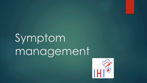# Symptom management

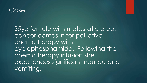### Case 1

35yo female with metastatic breast cancer comes in for palliative chemotherapy with cyclophosphamide. Following the chemotherapy infusion she experiences significant nausea and vomiting.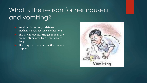## What is the reason for her nausea and vomiting?

- $\blacktriangleright$  Vomiting is the body's defense mechanism against toxic medications
- $\blacktriangleright$  The chemoreceptor trigger zone in the brain is stimulated by chemotherapy drugs
- $\blacktriangleright$  The GI system responds with an emetic response

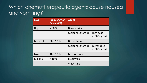### Which chemotherapeutic agents cause nausea and vomiting?

| <b>Level</b> | <b>Frequency of</b><br><b>Emesis (%)</b> | <b>Agent</b>     |                                 |
|--------------|------------------------------------------|------------------|---------------------------------|
| High         | > 90%                                    | Dacarabizine     |                                 |
|              |                                          | Cyclophosphamide | High dose<br>$>1500$ mg/m2      |
| Moderate     | $30 - 90%$                               | Doxorubicin      |                                 |
|              |                                          | Cyclophosphamide | Lower dose<br>$<$ 1500 $mg$ /m2 |
| Low          | $10 - 30%$                               | Methotrexate     |                                 |
| Minimal      | $< 10 \%$                                | Bleomycin        |                                 |
|              |                                          | Vincristine      |                                 |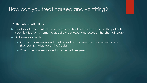### How can you treat nausea and vomiting?

### **Antiemetic medications:**

 $\blacktriangleright$  Doctor determines which anti-nausea medications to use based on the patients specific situation, chemotherapeutic drugs used, and doses of the chemotherapy

### $\blacktriangleright$  Antiemetics Agents

- ▶ Motilium, primperan, ondansetron (zofran), phenergan, diphenhydramine (benedryl), metaclopramine (reglan),
- ▶ \*\*dexamethasone (added to antiemetic regime)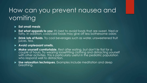## How can you prevent nausea and vomiting

### **Eat small meals**

- **Eat what appeals to you**: It's best to avoid foods that are sweet, fried or fatty. In addition, cool/cold foods may give off less bothersome odors
- **Drink lots of fluids.** Try cool beverages such as water, unsweetened fruit juices, tea.

### **Avoid unpleasant smells.**

- Make yourself comfortable. Rest after eating, but don't lie flat for a<br>couple of hours. Try wearing loosefitting clothing and distracting yourself<br>with other activities. This is particularly useful in the pediatric popul who respond well to distraction.
- **Use relaxation techniques.** Examples include meditation and deep breathing.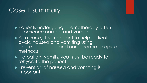### Case 1 summary

▶ Patients undergoing chemotherapy often experience nausea and vomiting

- $\blacktriangleright$  As a nurse, it is important to help patients avoid nausea and vomiting using pharmacological and non-pharmacological methods
- If a patient vomits, you must be ready to rehydrate the patient
- **Prevention of nausea and vomiting is** important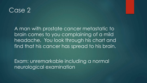### Case 2

A man with prostate cancer metastatic to brain comes to you complaining of a mild headache. You look through his chart and find that his cancer has spread to his brain.

Exam: unremarkable including a normal neurological examination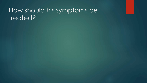## How should his symptoms be treated?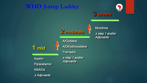### **WHO 3-step Ladder**



### 3 severe

1 mild

Aspirin *the step 1 art are step 1 are step* 1 and the step 1 and the step 1 and the step 1 and the step 1 and the step 1 and the step 1 and the step 1 and the step 1 and the step 1 and the step 1 and the step 1 and the st **Paracetamol NSAIDs** ± Adjuvants

**A/Codeine** A/Dihydrocodeine **Tramadoll** 

2 moderate

± step 1 and/or

Morphine ± step 1 and/or Adjuvants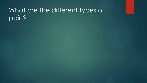## What are the different types of pain?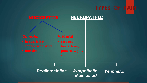## **TYPES OF PAIL**

### **NOCICEPTIVE NEUROPATHIC**

*Visceral*  • **Organs – heart, liver, pancreas, gut, etc.** 

### *Deafferentation Sympathetic*

*Maintained* 

*Peripheral*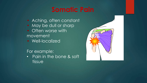## **Somatic Pain**

- Aching, often constant
- May be dull or sharp
- Often worse with movement
- Well-localized

### For example:

• Pain in the bone & soft tissue

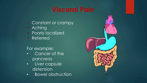## **Visceral Pain**

- Constant or crampy
- Aching
- Poorly localized
- Referred

### For example:

- Cancer of the pancreas
- Liver capsule distension
- Bowel obstruction

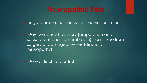## **Neuropathic Pain**

Tingly, burning, numbness or electric sensation.

 May be caused by injury (amputation and subsequent phantom limb pain), scar tissue from surgery or damaged nerves (diabetic neuropathy)

• More difficult to control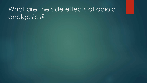## What are the side effects of opioid analgesics?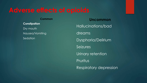### **Common**

**Constipation**  Dry mouth Nausea/Vomiting **Sedation** 

**Uncommon**  Hallucinations/bad dreams Dysphoria/Delirium **Seizures** Urinary retention Pruritus Respiratory depression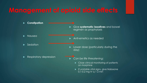## **Management of opioid side effects**

- u **Constipation**  Nausea  $\blacktriangleright$  Sedation Respiratory depression u Give **systematic laxatives** and bowel regimen as prophylaxis  $\blacktriangleright$  Anti-emetics as needed **De Lower dose (particularly during the** day) Can be life threatening: Close clinical monitoring of patients on morphine
	- $\blacktriangleright$  If unstable vital signs, give Naloxone 0.1-0.2 mg IV q 1-2 min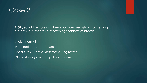### Case 3

A 68 year old female with breast cancer metastatic to the lungs presents for 2 months of worsening shortness of breath.

Vitals – normal Examination – unremarkable Chest X ray – shows metastatic lung masses CT chest – negative for pulmonary embolus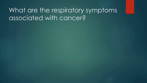## What are the respiratory symptoms associated with cancer?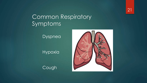21

### Common Respiratory Symptoms

Dyspnea

Hypoxia

Cough

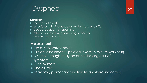### Dyspnea

### **Definition:**

- $\blacktriangleright$  shortness of breath
- $\blacktriangleright$  associated with increased respiratory rate and effort
- **D** decreased depth of breathing
- $\triangleright$  often associated with pain, fatigue and/or insomnia and cough

### **Assessment:**

- $\blacktriangleright$  Use of subjective report
- $\blacktriangleright$  Clinical assessment physical exam (6 minute walk test)
- Assess for cough (may be an underlying cause/
	- symptom)
- $\blacktriangleright$  Pulse oximetry
- $\blacktriangleright$  Chest X ray

Peak flow, pulmonary function tests (where indicated)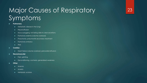## Major Causes of Respiratory Symptoms

23

### **Pulmonary**

- $\blacktriangleright$  Metastatic disease in the lungs
- $\blacktriangleright$  Pleural effusion
- $\blacktriangleright$  Mucus plugging, not being able to clear secretions
- Pulmonary edema (volume overload)
- **Pheumonia, pneumonitis secondary treatment**
- $\blacktriangleright$  Pulmonary embolus
- $\blacktriangleright$  PNA
- u **Cardiac** 
	- ▶ Heart failure (volume overload, pericardial effusion)
- **Neuromuscular** 
	- $\blacktriangleright$  Pain, splinting
	- $\blacktriangleright$  Deconditioning, cachexia, generalized weakness
- **D** Other
	- $\blacktriangleright$  Anemia
	- $\blacktriangleright$  Anxiety
	- $\blacktriangleright$  Metabolic acidosis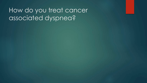## How do you treat cancer dssociated dyspnea?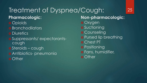### Treatment of Dyspnea/Cough: 25 **Pharmacologic: o** Opioids **o** Bronchodilators **o** Diuretics Suppressants/ expectorantscough o Steroids – cough Antibiotics- pneumonia **o** Other

**Non-pharmacologic:**  o Oxygen **o** Suctioning **o** Counseling **o** Pursed lip breathing o Chest PT **o** Positioning Fans, humidifier, **o** Other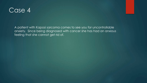### Case<sub>4</sub>

A patient with Kaposi sarcoma comes to see you for uncontrollable anxiety. Since being diagnosed with cancer she has had an anxious feeling that she cannot get rid of.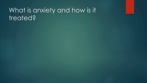## What is anxiety and how is it treated?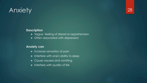## Anxiety



### **Description**

- ▶ Vague feeling of dread or apprehension
- $\triangleright$  Often associated with depression

### **Anxiety can**

- $\blacktriangleright$  Increase sensation of pain
- $\blacktriangleright$  Interfere with one's ability to sleep
- $\blacktriangleright$  Cause nausea and vomiting
- $\blacktriangleright$  Interfere with quality of life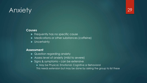## Anxiety

### **Causes**

- $\blacktriangleright$  Frequently has no specific cause
- **Medications or other substances (caffeine)**
- $\blacktriangleright$  Uncertainty

### **Assessment**

- Question regarding anxiety
- $\blacktriangleright$  Assess level of anxiety (mild to severe)
- $\triangleright$  Signs & symptoms can be extensive
	- ▶ May be Physical, Emotional, Cognitive or Behavioral
	- This needs extension but may be done by asking the group to list these